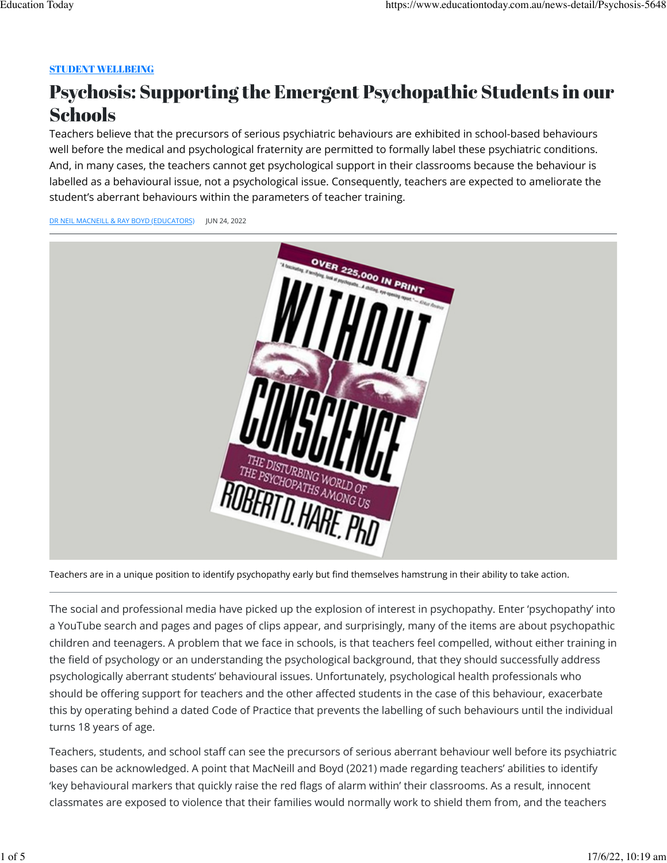# [STUDENT WELLBEING](https://www.educationtoday.com.au/subjects/Student%20Wellbeing)

# Psychosis: Supporting the Emergent Psychopathic Students in our **Schools**

Teachers believe that the precursors of serious psychiatric behaviours are exhibited in school-based behaviours well before the medical and psychological fraternity are permitted to formally label these psychiatric conditions. And, in many cases, the teachers cannot get psychological support in their classrooms because the behaviour is labelled as a behavioural issue, not a psychological issue. Consequently, teachers are expected to ameliorate the student's aberrant behaviours within the parameters of teacher training.

[DR NEIL MACNEILL & RAY BOYD \(EDUCATORS\)](https://www.educationtoday.com.au/news-detail/Psychosis-5648#) JUN 24, 2022



Teachers are in a unique position to identify psychopathy early but find themselves hamstrung in their ability to take action.

The social and professional media have picked up the explosion of interest in psychopathy. Enter 'psychopathy' into a YouTube search and pages and pages of clips appear, and surprisingly, many of the items are about psychopathic children and teenagers. A problem that we face in schools, is that teachers feel compelled, without either training in the field of psychology or an understanding the psychological background, that they should successfully address psychologically aberrant students' behavioural issues. Unfortunately, psychological health professionals who should be offering support for teachers and the other affected students in the case of this behaviour, exacerbate this by operating behind a dated Code of Practice that prevents the labelling of such behaviours until the individual turns 18 years of age.

Teachers, students, and school staff can see the precursors of serious aberrant behaviour well before its psychiatric bases can be acknowledged. A point that MacNeill and Boyd (2021) made regarding teachers' abilities to identify 'key behavioural markers that quickly raise the red flags of alarm within' their classrooms. As a result, innocent classmates are exposed to violence that their families would normally work to shield them from, and the teachers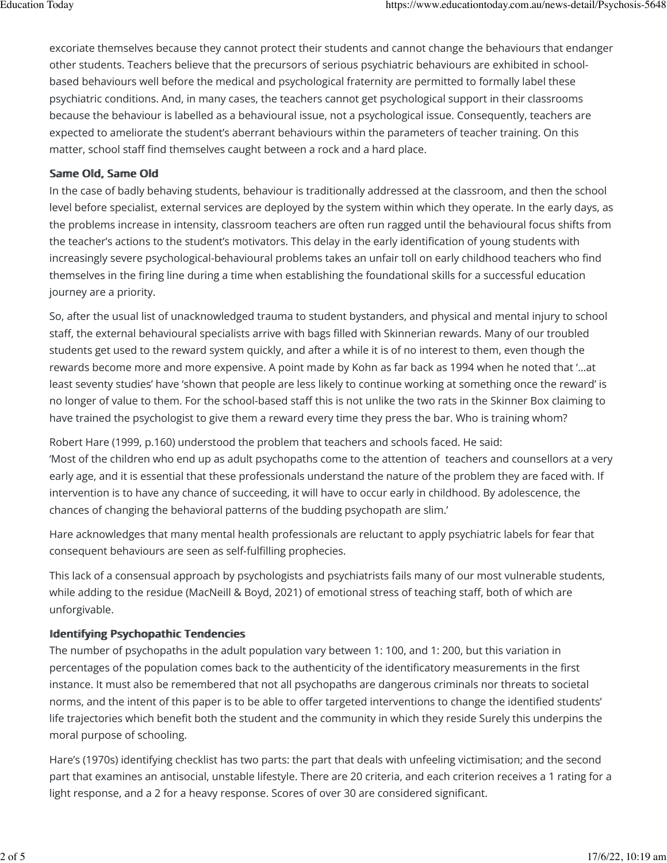excoriate themselves because they cannot protect their students and cannot change the behaviours that endanger other students. Teachers believe that the precursors of serious psychiatric behaviours are exhibited in schoolbased behaviours well before the medical and psychological fraternity are permitted to formally label these psychiatric conditions. And, in many cases, the teachers cannot get psychological support in their classrooms because the behaviour is labelled as a behavioural issue, not a psychological issue. Consequently, teachers are expected to ameliorate the student's aberrant behaviours within the parameters of teacher training. On this matter, school staff find themselves caught between a rock and a hard place.

# Same Old, Same Old

In the case of badly behaving students, behaviour is traditionally addressed at the classroom, and then the school level before specialist, external services are deployed by the system within which they operate. In the early days, as the problems increase in intensity, classroom teachers are often run ragged until the behavioural focus shifts from the teacher's actions to the student's motivators. This delay in the early identification of young students with increasingly severe psychological-behavioural problems takes an unfair toll on early childhood teachers who find themselves in the firing line during a time when establishing the foundational skills for a successful education journey are a priority.

So, after the usual list of unacknowledged trauma to student bystanders, and physical and mental injury to school staff, the external behavioural specialists arrive with bags filled with Skinnerian rewards. Many of our troubled students get used to the reward system quickly, and after a while it is of no interest to them, even though the rewards become more and more expensive. A point made by Kohn as far back as 1994 when he noted that '…at least seventy studies' have 'shown that people are less likely to continue working at something once the reward' is no longer of value to them. For the school-based staff this is not unlike the two rats in the Skinner Box claiming to have trained the psychologist to give them a reward every time they press the bar. Who is training whom?

Robert Hare (1999, p.160) understood the problem that teachers and schools faced. He said: 'Most of the children who end up as adult psychopaths come to the attention of teachers and counsellors at a very early age, and it is essential that these professionals understand the nature of the problem they are faced with. If intervention is to have any chance of succeeding, it will have to occur early in childhood. By adolescence, the chances of changing the behavioral patterns of the budding psychopath are slim.'

Hare acknowledges that many mental health professionals are reluctant to apply psychiatric labels for fear that consequent behaviours are seen as self-fulfilling prophecies.

This lack of a consensual approach by psychologists and psychiatrists fails many of our most vulnerable students, while adding to the residue (MacNeill & Boyd, 2021) of emotional stress of teaching staff, both of which are unforgivable.

# Identifying Psychopathic Tendencies

The number of psychopaths in the adult population vary between 1: 100, and 1: 200, but this variation in percentages of the population comes back to the authenticity of the identificatory measurements in the first instance. It must also be remembered that not all psychopaths are dangerous criminals nor threats to societal norms, and the intent of this paper is to be able to offer targeted interventions to change the identified students' life trajectories which benefit both the student and the community in which they reside Surely this underpins the moral purpose of schooling.

Hare's (1970s) identifying checklist has two parts: the part that deals with unfeeling victimisation; and the second part that examines an antisocial, unstable lifestyle. There are 20 criteria, and each criterion receives a 1 rating for a light response, and a 2 for a heavy response. Scores of over 30 are considered significant.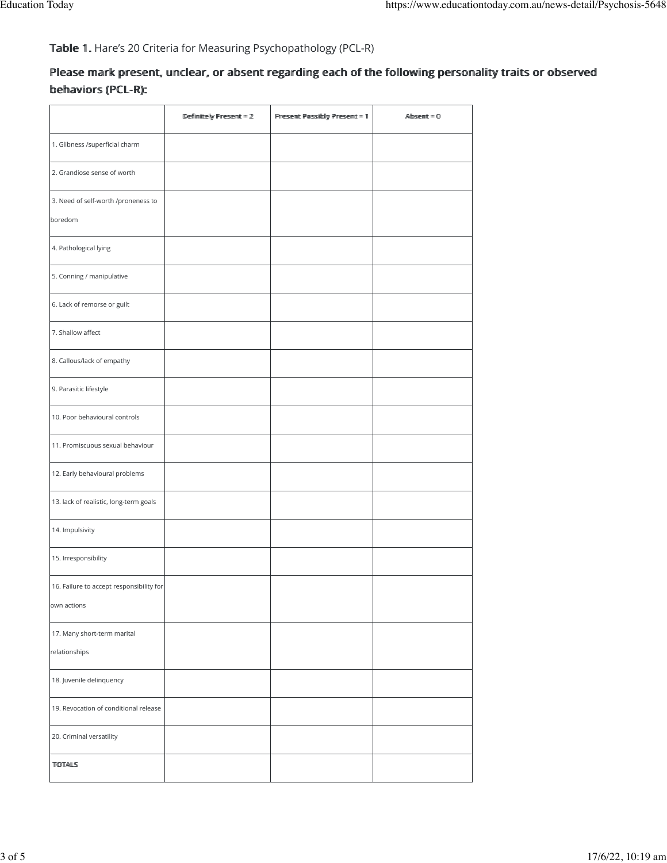Table 1. Hare's 20 Criteria for Measuring Psychopathology (PCL-R)

# Please mark present, unclear, or absent regarding each of the following personality traits or observed behaviors (PCL-R):

|                                          | Deffimittelly Present = $2$ | Present Possibly Present = 1 | $\mathbb{A}\mathbb{b}$ semt = $\mathbb{0}$ |
|------------------------------------------|-----------------------------|------------------------------|--------------------------------------------|
| 1. Glibness /superficial charm           |                             |                              |                                            |
| 2. Grandiose sense of worth              |                             |                              |                                            |
| 3. Need of self-worth /proneness to      |                             |                              |                                            |
| boredom                                  |                             |                              |                                            |
| 4. Pathological lying                    |                             |                              |                                            |
| 5. Conning / manipulative                |                             |                              |                                            |
| 6. Lack of remorse or guilt              |                             |                              |                                            |
| 7. Shallow affect                        |                             |                              |                                            |
| 8. Callous/lack of empathy               |                             |                              |                                            |
| 9. Parasitic lifestyle                   |                             |                              |                                            |
| 10. Poor behavioural controls            |                             |                              |                                            |
| 11. Promiscuous sexual behaviour         |                             |                              |                                            |
| 12. Early behavioural problems           |                             |                              |                                            |
| 13. lack of realistic, long-term goals   |                             |                              |                                            |
| 14. Impulsivity                          |                             |                              |                                            |
| 15. Irresponsibility                     |                             |                              |                                            |
| 16. Failure to accept responsibility for |                             |                              |                                            |
| own actions                              |                             |                              |                                            |
| 17. Many short-term marital              |                             |                              |                                            |
| relationships                            |                             |                              |                                            |
| 18. Juvenile delinquency                 |                             |                              |                                            |
| 19. Revocation of conditional release    |                             |                              |                                            |
| 20. Criminal versatility                 |                             |                              |                                            |
| <b>TOTALS</b>                            |                             |                              |                                            |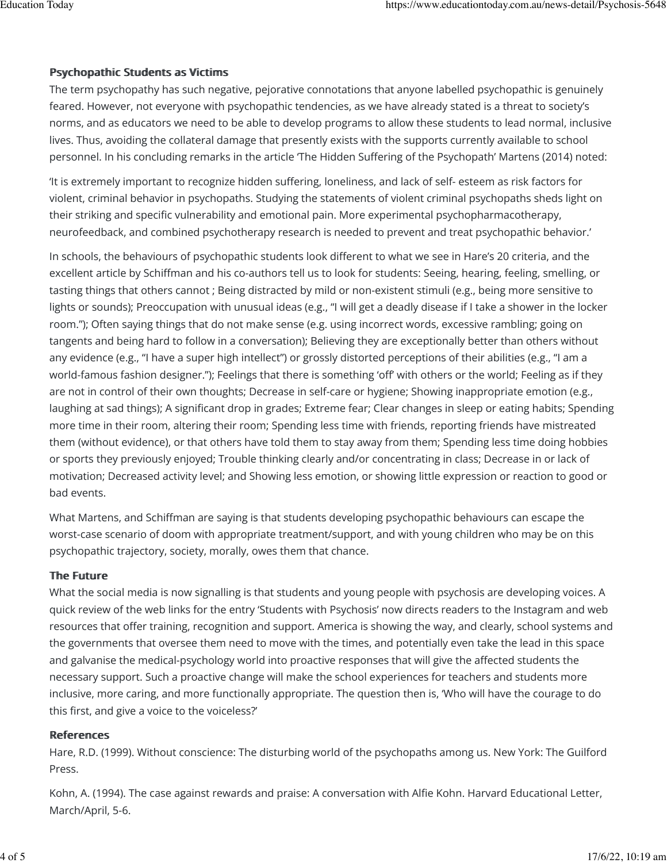## Psychopathic Students as Victims

The term psychopathy has such negative, pejorative connotations that anyone labelled psychopathic is genuinely feared. However, not everyone with psychopathic tendencies, as we have already stated is a threat to society's norms, and as educators we need to be able to develop programs to allow these students to lead normal, inclusive lives. Thus, avoiding the collateral damage that presently exists with the supports currently available to school personnel. In his concluding remarks in the article 'The Hidden Suffering of the Psychopath' Martens (2014) noted:

'It is extremely important to recognize hidden suffering, loneliness, and lack of self- esteem as risk factors for violent, criminal behavior in psychopaths. Studying the statements of violent criminal psychopaths sheds light on their striking and specific vulnerability and emotional pain. More experimental psychopharmacotherapy, neurofeedback, and combined psychotherapy research is needed to prevent and treat psychopathic behavior.'

In schools, the behaviours of psychopathic students look different to what we see in Hare's 20 criteria, and the excellent article by Schiffman and his co-authors tell us to look for students: Seeing, hearing, feeling, smelling, or tasting things that others cannot ; Being distracted by mild or non-existent stimuli (e.g., being more sensitive to lights or sounds); Preoccupation with unusual ideas (e.g., "I will get a deadly disease if I take a shower in the locker room."); Often saying things that do not make sense (e.g. using incorrect words, excessive rambling; going on tangents and being hard to follow in a conversation); Believing they are exceptionally better than others without any evidence (e.g., "I have a super high intellect") or grossly distorted perceptions of their abilities (e.g., "I am a world-famous fashion designer."); Feelings that there is something 'off' with others or the world; Feeling as if they are not in control of their own thoughts; Decrease in self-care or hygiene; Showing inappropriate emotion (e.g., laughing at sad things); A significant drop in grades; Extreme fear; Clear changes in sleep or eating habits; Spending more time in their room, altering their room; Spending less time with friends, reporting friends have mistreated them (without evidence), or that others have told them to stay away from them; Spending less time doing hobbies or sports they previously enjoyed; Trouble thinking clearly and/or concentrating in class; Decrease in or lack of motivation; Decreased activity level; and Showing less emotion, or showing little expression or reaction to good or bad events.

What Martens, and Schiffman are saying is that students developing psychopathic behaviours can escape the worst-case scenario of doom with appropriate treatment/support, and with young children who may be on this psychopathic trajectory, society, morally, owes them that chance.

### The Future

What the social media is now signalling is that students and young people with psychosis are developing voices. A quick review of the web links for the entry 'Students with Psychosis' now directs readers to the Instagram and web resources that offer training, recognition and support. America is showing the way, and clearly, school systems and the governments that oversee them need to move with the times, and potentially even take the lead in this space and galvanise the medical-psychology world into proactive responses that will give the affected students the necessary support. Such a proactive change will make the school experiences for teachers and students more inclusive, more caring, and more functionally appropriate. The question then is, 'Who will have the courage to do this first, and give a voice to the voiceless?'

### References

Hare, R.D. (1999). Without conscience: The disturbing world of the psychopaths among us. New York: The Guilford Press.

Kohn, A. (1994). The case against rewards and praise: A conversation with Alfie Kohn. Harvard Educational Letter, March/April, 5-6.